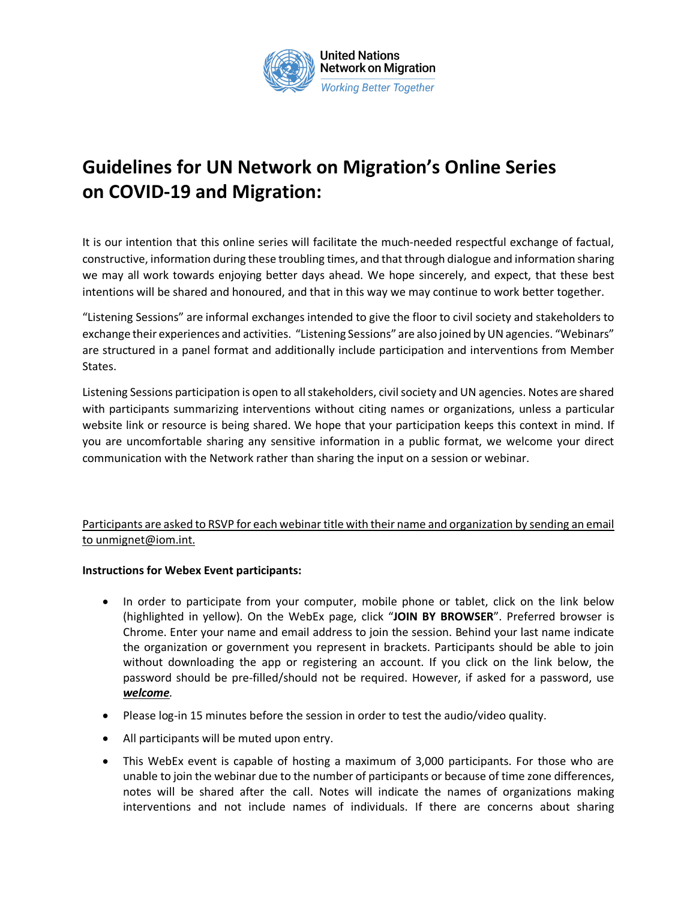

## **Guidelines for UN Network on Migration's Online Series on COVID-19 and Migration:**

It is our intention that this online series will facilitate the much-needed respectful exchange of factual, constructive, information during these troubling times, and that through dialogue and information sharing we may all work towards enjoying better days ahead. We hope sincerely, and expect, that these best intentions will be shared and honoured, and that in this way we may continue to work better together.

"Listening Sessions" are informal exchanges intended to give the floor to civil society and stakeholders to exchange their experiences and activities. "Listening Sessions" are also joined by UN agencies. "Webinars" are structured in a panel format and additionally include participation and interventions from Member States.

Listening Sessions participation is open to all stakeholders, civil society and UN agencies. Notes are shared with participants summarizing interventions without citing names or organizations, unless a particular website link or resource is being shared. We hope that your participation keeps this context in mind. If you are uncomfortable sharing any sensitive information in a public format, we welcome your direct communication with the Network rather than sharing the input on a session or webinar.

## Participants are asked to RSVP for each webinar title with their name and organization by sending an email to unmignet@iom.int.

## **Instructions for Webex Event participants:**

- In order to participate from your computer, mobile phone or tablet, click on the link below (highlighted in yellow). On the WebEx page, click "**JOIN BY BROWSER**". Preferred browser is Chrome. Enter your name and email address to join the session. Behind your last name indicate the organization or government you represent in brackets. Participants should be able to join without downloading the app or registering an account. If you click on the link below, the password should be pre-filled/should not be required. However, if asked for a password, use *welcome.*
- Please log-in 15 minutes before the session in order to test the audio/video quality.
- All participants will be muted upon entry.
- This WebEx event is capable of hosting a maximum of 3,000 participants. For those who are unable to join the webinar due to the number of participants or because of time zone differences, notes will be shared after the call. Notes will indicate the names of organizations making interventions and not include names of individuals. If there are concerns about sharing